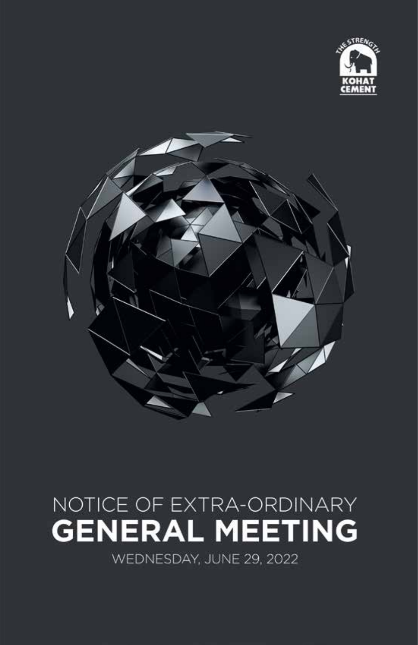



# NOTICE OF EXTRA-ORDINARY **GENERAL MEETING**

WEDNESDAY, JUNE 29, 2022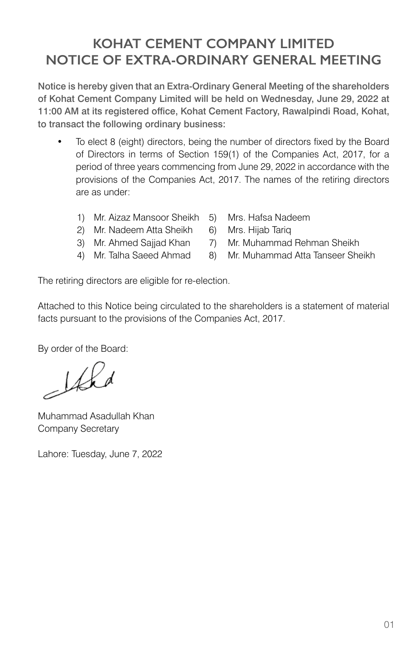## **KOHAT CEMENT COMPANY LIMITED NOTICE OF EXTRA-ORDINARY GENERAL MEETING**

Notice is hereby given that an Extra-Ordinary General Meeting of the shareholders of Kohat Cement Company Limited will be held on Wednesday, June 29, 2022 at 11:00 AM at its registered office, Kohat Cement Factory, Rawalpindi Road, Kohat, to transact the following ordinary business:

- To elect 8 (eight) directors, being the number of directors fixed by the Board of Directors in terms of Section 159(1) of the Companies Act, 2017, for a period of three years commencing from June 29, 2022 in accordance with the provisions of the Companies Act, 2017. The names of the retiring directors are as under:
	- 1) Mr. Aizaz Mansoor Sheikh 5) Mrs. Hafsa Nadeem
	- 2) Mr. Nadeem Atta Sheikh 6) Mrs. Hijab Tariq
	-
	-
- 
- 
- 3) Mr. Ahmed Sajjad Khan 7) Mr. Muhammad Rehman Sheikh
- 4) Mr. Talha Saeed Ahmad 8) Mr. Muhammad Atta Tanseer Sheikh

The retiring directors are eligible for re-election.

Attached to this Notice being circulated to the shareholders is a statement of material facts pursuant to the provisions of the Companies Act, 2017.

By order of the Board:

 $162$ 

Muhammad Asadullah Khan Company Secretary

Lahore: Tuesday, June 7, 2022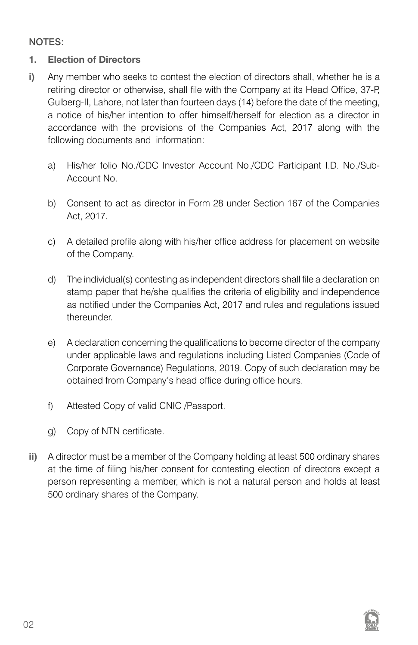NOTES:

#### **1. Election of Directors**

- **i)** Any member who seeks to contest the election of directors shall, whether he is a retiring director or otherwise, shall file with the Company at its Head Office, 37-P, Gulberg-II, Lahore, not later than fourteen days (14) before the date of the meeting, a notice of his/her intention to offer himself/herself for election as a director in accordance with the provisions of the Companies Act, 2017 along with the following documents and information:
	- a) His/her folio No./CDC Investor Account No./CDC Participant I.D. No./Sub-Account No.
	- b) Consent to act as director in Form 28 under Section 167 of the Companies Act, 2017.
	- c) A detailed profile along with his/her office address for placement on website of the Company.
	- d) The individual(s) contesting as independent directors shall file a declaration on stamp paper that he/she qualifies the criteria of eligibility and independence as notified under the Companies Act, 2017 and rules and regulations issued thereunder.
	- e) A declaration concerning the qualifications to become director of the company under applicable laws and regulations including Listed Companies (Code of Corporate Governance) Regulations, 2019. Copy of such declaration may be obtained from Company's head office during office hours.
	- f) Attested Copy of valid CNIC /Passport.
	- g) Copy of NTN certificate.
- **ii)** A director must be a member of the Company holding at least 500 ordinary shares at the time of filing his/her consent for contesting election of directors except a person representing a member, which is not a natural person and holds at least 500 ordinary shares of the Company.

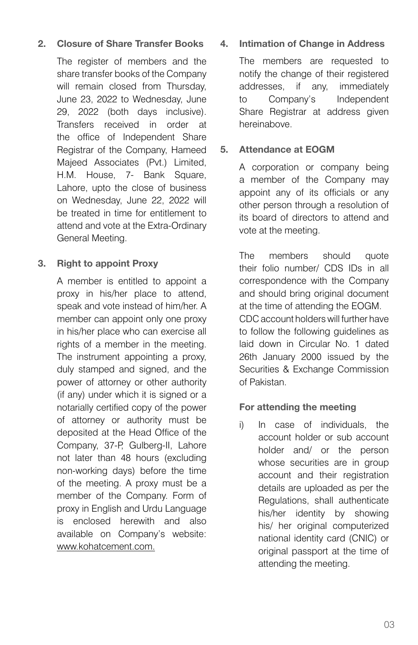#### **2. Closure of Share Transfer Books**

The register of members and the share transfer books of the Company will remain closed from Thursday, June 23, 2022 to Wednesday, June 29, 2022 (both days inclusive). Transfers received in order at the office of Independent Share Registrar of the Company, Hameed Majeed Associates (Pvt.) Limited, H.M. House, 7- Bank Square, Lahore, upto the close of business on Wednesday, June 22, 2022 will be treated in time for entitlement to attend and vote at the Extra-Ordinary General Meeting.

#### **3. Right to appoint Proxy**

A member is entitled to appoint a proxy in his/her place to attend, speak and vote instead of him/her. A member can appoint only one proxy in his/her place who can exercise all rights of a member in the meeting. The instrument appointing a proxy, duly stamped and signed, and the power of attorney or other authority (if any) under which it is signed or a notarially certified copy of the power of attorney or authority must be deposited at the Head Office of the Company, 37-P, Gulberg-II, Lahore not later than 48 hours (excluding non-working days) before the time of the meeting. A proxy must be a member of the Company. Form of proxy in English and Urdu Language is enclosed herewith and also available on Company's website: www.kohatcement.com.

#### **4. Intimation of Change in Address**

The members are requested to notify the change of their registered addresses, if any, immediately to Company's Independent Share Registrar at address given hereinabove.

#### **5. Attendance at EOGM**

A corporation or company being a member of the Company may appoint any of its officials or any other person through a resolution of its board of directors to attend and vote at the meeting.

The members should quote their folio number/ CDS IDs in all correspondence with the Company and should bring original document at the time of attending the EOGM. CDC account holders will further have to follow the following guidelines as laid down in Circular No. 1 dated 26th January 2000 issued by the Securities & Exchange Commission of Pakistan.

#### **For attending the meeting**

i) In case of individuals, the account holder or sub account holder and/ or the person whose securities are in group account and their registration details are uploaded as per the Regulations, shall authenticate his/her identity by showing his/ her original computerized national identity card (CNIC) or original passport at the time of attending the meeting.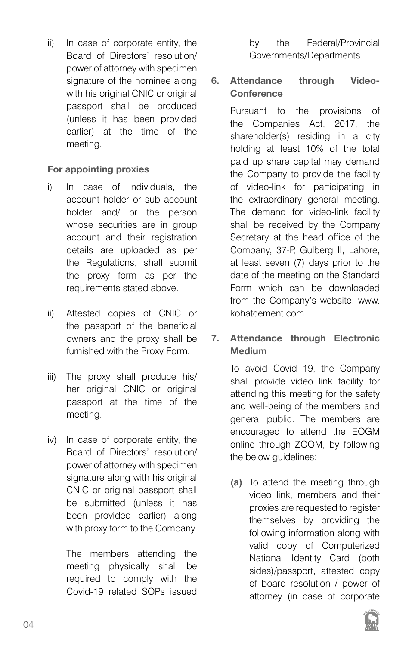ii) In case of corporate entity, the Board of Directors' resolution/ power of attorney with specimen signature of the nominee along with his original CNIC or original passport shall be produced (unless it has been provided earlier) at the time of the meeting.

#### **For appointing proxies**

- i) In case of individuals, the account holder or sub account holder and/ or the person whose securities are in group account and their registration details are uploaded as per the Regulations, shall submit the proxy form as per the requirements stated above.
- ii) Attested copies of CNIC or the passport of the beneficial owners and the proxy shall be furnished with the Proxy Form.
- iii) The proxy shall produce his/ her original CNIC or original passport at the time of the meeting.
- iv) In case of corporate entity, the Board of Directors' resolution/ power of attorney with specimen signature along with his original CNIC or original passport shall be submitted (unless it has been provided earlier) along with proxy form to the Company.

The members attending the meeting physically shall be required to comply with the Covid-19 related SOPs issued by the Federal/Provincial Governments/Departments.

#### **6. Attendance through Video-Conference**

Pursuant to the provisions of the Companies Act, 2017, the shareholder(s) residing in a city holding at least 10% of the total paid up share capital may demand the Company to provide the facility of video-link for participating in the extraordinary general meeting. The demand for video-link facility shall be received by the Company Secretary at the head office of the Company, 37-P, Gulberg II, Lahore, at least seven (7) days prior to the date of the meeting on the Standard Form which can be downloaded from the Company's website: www. kohatcement.com.

#### **7. Attendance through Electronic Medium**

To avoid Covid 19, the Company shall provide video link facility for attending this meeting for the safety and well-being of the members and general public. The members are encouraged to attend the EOGM online through ZOOM, by following the below guidelines:

**(a)** To attend the meeting through video link, members and their proxies are requested to register themselves by providing the following information along with valid copy of Computerized National Identity Card (both sides)/passport, attested copy of board resolution / power of attorney (in case of corporate

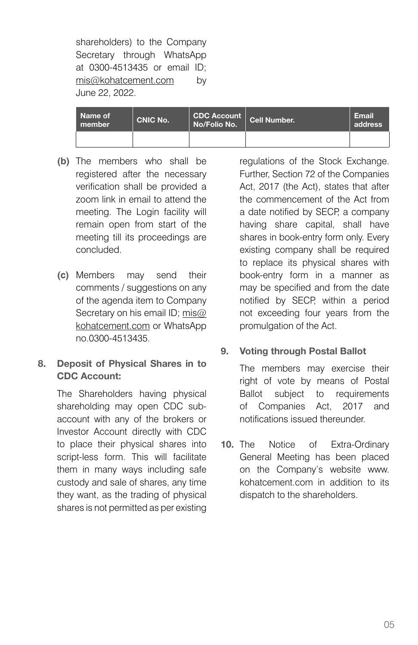shareholders) to the Company Secretary through WhatsApp at 0300-4513435 or email ID; mis@kohatcement.com by June 22, 2022.

| Name of<br>member | <b>CNIC No.</b> | CDC Account  <br>No/Folio No. | Cell Number. | Email<br>address |
|-------------------|-----------------|-------------------------------|--------------|------------------|
|                   |                 |                               |              |                  |

- **(b)** The members who shall be registered after the necessary verification shall be provided a zoom link in email to attend the meeting. The Login facility will remain open from start of the meeting till its proceedings are concluded.
- **(c)** Members may send their comments / suggestions on any of the agenda item to Company Secretary on his email ID; mis@ kohatcement.com or WhatsApp no.0300-4513435.

#### **8. Deposit of Physical Shares in to CDC Account:**

The Shareholders having physical shareholding may open CDC subaccount with any of the brokers or Investor Account directly with CDC to place their physical shares into script-less form. This will facilitate them in many ways including safe custody and sale of shares, any time they want, as the trading of physical shares is not permitted as per existing

regulations of the Stock Exchange. Further, Section 72 of the Companies Act, 2017 (the Act), states that after the commencement of the Act from a date notified by SECP, a company having share capital, shall have shares in book-entry form only. Every existing company shall be required to replace its physical shares with book-entry form in a manner as may be specified and from the date notified by SECP, within a period not exceeding four years from the promulgation of the Act.

#### **9. Voting through Postal Ballot**

The members may exercise their right of vote by means of Postal Ballot subject to requirements of Companies Act, 2017 and notifications issued thereunder.

**10.** The Notice of Extra-Ordinary General Meeting has been placed on the Company's website www. kohatcement.com in addition to its dispatch to the shareholders.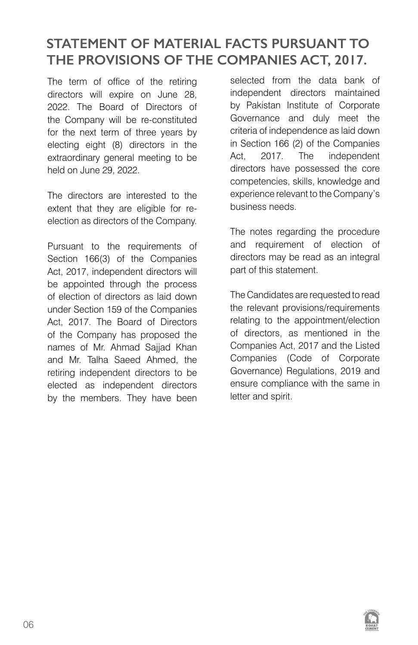## **STATEMENT OF MATERIAL FACTS PURSUANT TO THE PROVISIONS OF THE COMPANIES ACT, 2017.**

The term of office of the retiring directors will expire on June 28, 2022. The Board of Directors of the Company will be re-constituted for the next term of three years by electing eight (8) directors in the extraordinary general meeting to be held on June 29, 2022.

The directors are interested to the extent that they are eligible for reelection as directors of the Company.

Pursuant to the requirements of Section 166(3) of the Companies Act, 2017, independent directors will be appointed through the process of election of directors as laid down under Section 159 of the Companies Act, 2017. The Board of Directors of the Company has proposed the names of Mr. Ahmad Sajjad Khan and Mr. Talha Saeed Ahmed, the retiring independent directors to be elected as independent directors by the members. They have been

selected from the data bank of independent directors maintained by Pakistan Institute of Corporate Governance and duly meet the criteria of independence as laid down in Section 166 (2) of the Companies Act, 2017. The independent directors have possessed the core competencies, skills, knowledge and experience relevant to the Company's business needs.

The notes regarding the procedure and requirement of election of directors may be read as an integral part of this statement.

The Candidates are requested to read the relevant provisions/requirements relating to the appointment/election of directors, as mentioned in the Companies Act, 2017 and the Listed Companies (Code of Corporate Governance) Regulations, 2019 and ensure compliance with the same in letter and spirit.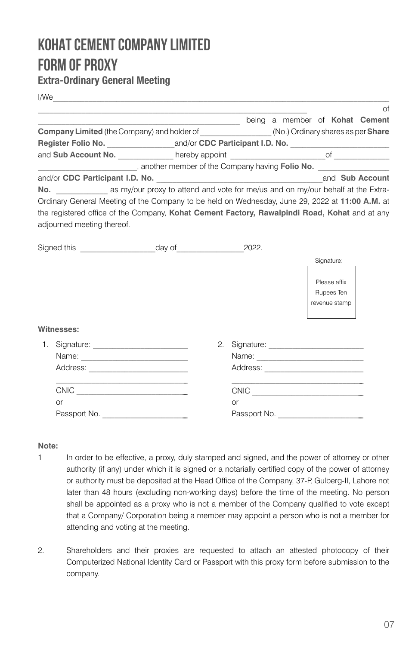## **KOHAT CEMENT COMPANY LIMITED FORM OF PROXY**

#### **Extra-Ordinary General Meeting**

| I/We                                                                                            |                                                                                                 | the contract of the contract of the contract of the contract of the contract of the contract of |    |                                                                                                                                                                                                                                                                                                                                                     |  |            |                            |    |
|-------------------------------------------------------------------------------------------------|-------------------------------------------------------------------------------------------------|-------------------------------------------------------------------------------------------------|----|-----------------------------------------------------------------------------------------------------------------------------------------------------------------------------------------------------------------------------------------------------------------------------------------------------------------------------------------------------|--|------------|----------------------------|----|
|                                                                                                 | being a member of Kohat Cement                                                                  |                                                                                                 |    |                                                                                                                                                                                                                                                                                                                                                     |  |            |                            | of |
| Company Limited (the Company) and holder of _________________(No.) Ordinary shares as per Share |                                                                                                 |                                                                                                 |    |                                                                                                                                                                                                                                                                                                                                                     |  |            |                            |    |
|                                                                                                 |                                                                                                 |                                                                                                 |    |                                                                                                                                                                                                                                                                                                                                                     |  |            |                            |    |
|                                                                                                 |                                                                                                 |                                                                                                 |    |                                                                                                                                                                                                                                                                                                                                                     |  |            |                            |    |
|                                                                                                 | another member of the Company having Folio No.                                                  |                                                                                                 |    |                                                                                                                                                                                                                                                                                                                                                     |  |            |                            |    |
|                                                                                                 |                                                                                                 |                                                                                                 |    |                                                                                                                                                                                                                                                                                                                                                     |  |            |                            |    |
|                                                                                                 | No. as my/our proxy to attend and vote for me/us and on my/our behalf at the Extra-             |                                                                                                 |    |                                                                                                                                                                                                                                                                                                                                                     |  |            |                            |    |
|                                                                                                 | Ordinary General Meeting of the Company to be held on Wednesday, June 29, 2022 at 11:00 A.M. at |                                                                                                 |    |                                                                                                                                                                                                                                                                                                                                                     |  |            |                            |    |
|                                                                                                 | the registered office of the Company, Kohat Cement Factory, Rawalpindi Road, Kohat and at any   |                                                                                                 |    |                                                                                                                                                                                                                                                                                                                                                     |  |            |                            |    |
|                                                                                                 | adjourned meeting thereof.                                                                      |                                                                                                 |    |                                                                                                                                                                                                                                                                                                                                                     |  |            |                            |    |
| Signed this ___________________________________day of___________________________                |                                                                                                 |                                                                                                 |    | 2022.                                                                                                                                                                                                                                                                                                                                               |  |            |                            |    |
|                                                                                                 |                                                                                                 |                                                                                                 |    |                                                                                                                                                                                                                                                                                                                                                     |  | Signature: |                            |    |
|                                                                                                 |                                                                                                 |                                                                                                 |    |                                                                                                                                                                                                                                                                                                                                                     |  |            |                            |    |
|                                                                                                 |                                                                                                 |                                                                                                 |    |                                                                                                                                                                                                                                                                                                                                                     |  |            | Please affix<br>Rupees Ten |    |
|                                                                                                 |                                                                                                 |                                                                                                 |    |                                                                                                                                                                                                                                                                                                                                                     |  |            | revenue stamp              |    |
|                                                                                                 |                                                                                                 |                                                                                                 |    |                                                                                                                                                                                                                                                                                                                                                     |  |            |                            |    |
|                                                                                                 | Witnesses:                                                                                      |                                                                                                 |    |                                                                                                                                                                                                                                                                                                                                                     |  |            |                            |    |
|                                                                                                 |                                                                                                 |                                                                                                 | 2. |                                                                                                                                                                                                                                                                                                                                                     |  |            |                            |    |
|                                                                                                 |                                                                                                 |                                                                                                 |    |                                                                                                                                                                                                                                                                                                                                                     |  |            |                            |    |
|                                                                                                 |                                                                                                 |                                                                                                 |    |                                                                                                                                                                                                                                                                                                                                                     |  |            |                            |    |
|                                                                                                 | $\begin{tabular}{c} \multicolumn{2}{c} {\textbf{CNIC}} \end{tabular}$                           |                                                                                                 |    | $\begin{picture}(180,10) \put(0,0){\line(1,0){10}} \put(10,0){\line(1,0){10}} \put(10,0){\line(1,0){10}} \put(10,0){\line(1,0){10}} \put(10,0){\line(1,0){10}} \put(10,0){\line(1,0){10}} \put(10,0){\line(1,0){10}} \put(10,0){\line(1,0){10}} \put(10,0){\line(1,0){10}} \put(10,0){\line(1,0){10}} \put(10,0){\line(1,0){10}} \put(10,0){\line($ |  |            |                            |    |
|                                                                                                 | $\alpha$ r                                                                                      |                                                                                                 |    | $\alpha$ r                                                                                                                                                                                                                                                                                                                                          |  |            |                            |    |
|                                                                                                 |                                                                                                 |                                                                                                 |    | Passport No.                                                                                                                                                                                                                                                                                                                                        |  |            |                            |    |

#### **Note:**

- 1 In order to be effective, a proxy, duly stamped and signed, and the power of attorney or other authority (if any) under which it is signed or a notarially certified copy of the power of attorney or authority must be deposited at the Head Office of the Company, 37-P, Gulberg-II, Lahore not later than 48 hours (excluding non-working days) before the time of the meeting. No person shall be appointed as a proxy who is not a member of the Company qualified to vote except that a Company/ Corporation being a member may appoint a person who is not a member for attending and voting at the meeting.
- 2. Shareholders and their proxies are requested to attach an attested photocopy of their Computerized National Identity Card or Passport with this proxy form before submission to the company.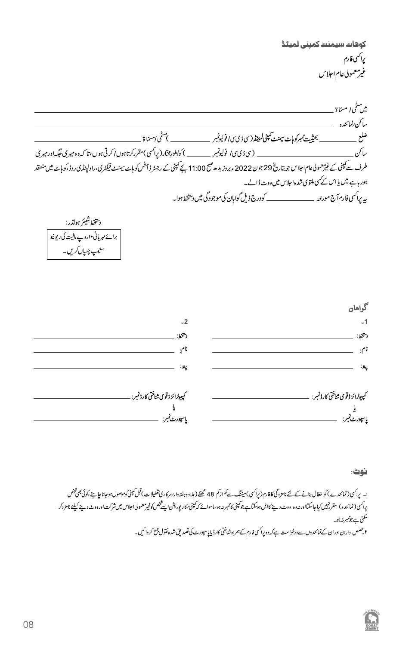كوهات سيمنث كمينى لميٹڈ يراكسى فارم غير معمولي عام اجلاس

میں سٹی *ا* مسمّاۃ \_\_\_\_\_\_\_\_\_\_\_ طرف <sup>سے ک</sup>ینی کے غی<sup>ع</sup>مولویاعام اجلاس جو بتاریخ 29 جون 2022 ء بروز مدھ میتی 11:00 سے کینی کے رجٹر ڈافس کو ہائے میں منعقد 29 دولار کو ہائے میں منعقد ہور ہاہے میں یا اس کے سی ملتوی شدہ اجلاس میں ووٹ ڈالے۔ ىيە يراكسى فارم آج مورنتە \_\_\_\_\_\_\_\_\_\_\_\_\_\_ كودرج ذيل گوامان كى موجود گى ميں دىتخط ہوا۔ دستخط شيئر هولڈر: سٹیپ چیاں کریں۔ گواهان  $-2$  $-1$ دستخط: دسخط: \_ نام: \_ نام.  $z_{\rm g}$ .<br>پاسپورٹ نمبر: \_\_\_\_\_\_\_\_\_\_\_\_\_\_ .<br>پاسپورٹ نمبر:

نوت:

ا۔ یراسی (نمائندے) کو فغال بنانے کے لئے نامز دگی کافارم(یراسی)میٹنگ سے کواز کو علاوہ اور اور اور سرکاری تعطیلات بقل کینی کوموصول ہوجانا جا ہے کوئی بھی فتض یراکن(نمائنده) مقررنبیں کیاجاسکتااورندوہ ووٹ دینے کااہل ہوسکتاہے بوتینی کامم پر میشن کی سینکش کی کی ایک شریف ایک ایک شرکت اورودٹ دینے کیلئے نامزدکر ے<br>سکتی ہے جو*مبر من*ہو۔ ۲ جھص داران اوران کےنمائندوں سے درخواست ہے کہ وہ پراکسی فارم کے ہمراہ شاختی کارڈ پایاسپورٹ کی تصدیق شدہ نقول جمع کر دائمیں۔